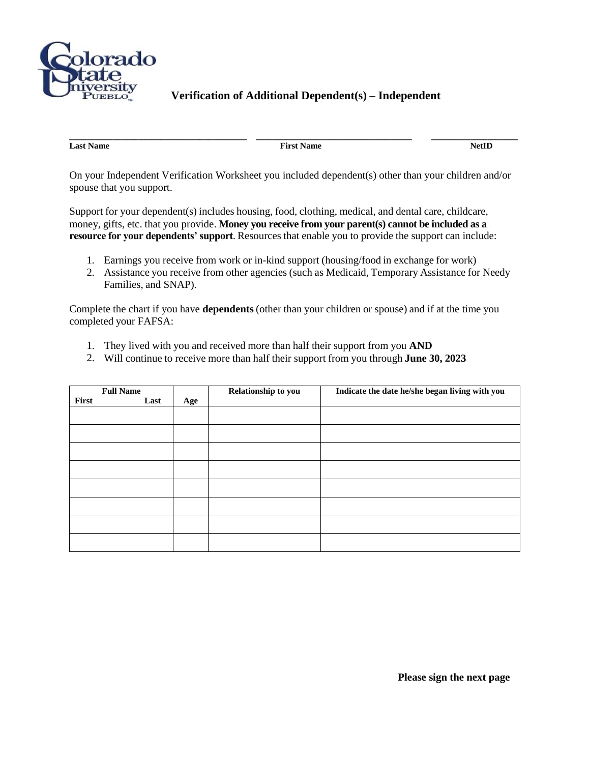

## **Verification of Additional Dependent(s) – Independent**

**Last Name** NetID

**\_\_\_\_\_\_\_\_\_\_\_\_\_\_\_\_\_\_\_\_\_\_\_\_\_\_\_\_\_\_\_\_\_\_\_\_\_\_\_\_\_ \_\_\_\_\_\_\_\_\_\_\_\_\_\_\_\_\_\_\_\_\_\_\_\_\_\_\_\_\_\_\_\_\_\_\_\_ \_\_\_\_\_\_\_\_\_\_\_\_\_\_\_\_\_\_\_\_**

On your Independent Verification Worksheet you included dependent(s) other than your children and/or spouse that you support.

Support for your dependent(s) includes housing, food, clothing, medical, and dental care, childcare, money, gifts, etc. that you provide. **Money you receive from your parent(s) cannot be included as a resource for your dependents' support**. Resources that enable you to provide the support can include:

- 1. Earnings you receive from work or in-kind support (housing/food in exchange for work)
- 2. Assistance you receive from other agencies (such as Medicaid, Temporary Assistance for Needy Families, and SNAP).

Complete the chart if you have **dependents** (other than your children or spouse) and if at the time you completed your FAFSA:

- 1. They lived with you and received more than half their support from you **AND**
- 2. Will continue to receive more than half their support from you through **June 30, 2023**

| <b>Full Name</b> |      | Relationship to you | Indicate the date he/she began living with you |  |
|------------------|------|---------------------|------------------------------------------------|--|
| First            | Last | Age                 |                                                |  |
|                  |      |                     |                                                |  |
|                  |      |                     |                                                |  |
|                  |      |                     |                                                |  |
|                  |      |                     |                                                |  |
|                  |      |                     |                                                |  |
|                  |      |                     |                                                |  |
|                  |      |                     |                                                |  |
|                  |      |                     |                                                |  |

**Please sign the next page**